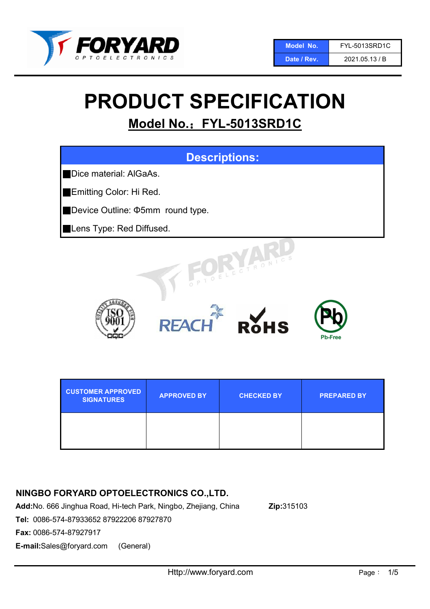

# PRODUCT SPECIFICATION

## Model No.: FYL-5013SRD1C



| <b>CUSTOMER APPROVED</b><br><b>SIGNATURES</b> | <b>APPROVED BY</b> | <b>CHECKED BY</b> | <b>PREPARED BY</b> |
|-----------------------------------------------|--------------------|-------------------|--------------------|
|                                               |                    |                   |                    |

## NINGBO FORYARD OPTOELECTRONICS CO.,LTD.

Add:No. 666 Jinghua Road, Hi-tech Park, Ningbo, Zhejiang, China Zip:315103

Tel: 0086-574-87933652 87922206 87927870

Fax: 0086-574-87927917

E-mail:Sales@foryard.com (General)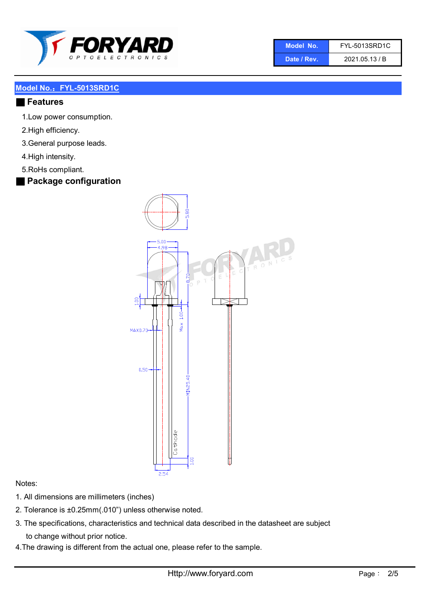

| Model No.   | <b>FYL-5013SRD1C</b> |
|-------------|----------------------|
| Date / Rev. | 2021.05.13 / B       |

#### ■ Features

- 1.Low power consumption.
- 2.High efficiency.
- 3.General purpose leads.
- 4.High intensity.
- 5.RoHs compliant.
- Package configuration



#### Notes:

- 1. All dimensions are millimeters (inches)
- 2. Tolerance is ±0.25mm(.010") unless otherwise noted.
- 3. The specifications, characteristics and technical data described in the datasheet are subject to change without prior notice.
- 4.The drawing is different from the actual one, please refer to the sample.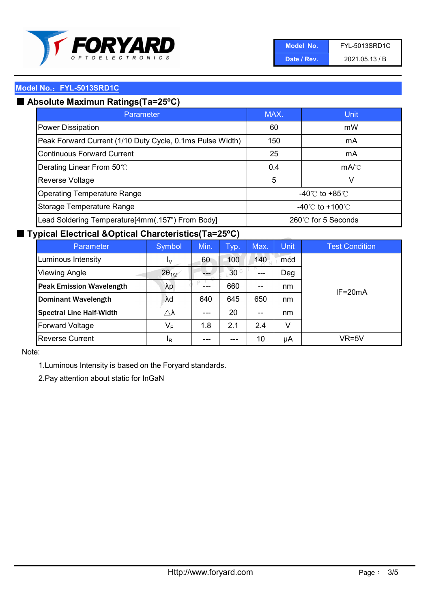

| Model No.   | <b>FYL-5013SRD1C</b> |
|-------------|----------------------|
| Date / Rev. | 2021.05.13 / B       |

## ■ Absolute Maximun Ratings(Ta=25°C)

| Parameter                                                 | MAX.                                | Unit                                 |
|-----------------------------------------------------------|-------------------------------------|--------------------------------------|
| <b>Power Dissipation</b>                                  | 60                                  | mW                                   |
| Peak Forward Current (1/10 Duty Cycle, 0.1ms Pulse Width) | 150                                 | mA                                   |
| <b>Continuous Forward Current</b>                         | 25                                  | mA                                   |
| Derating Linear From 50°C                                 | 0.4                                 | $mA$ <sup><math>\circ</math></sup> C |
| Reverse Voltage                                           | 5                                   | v                                    |
| <b>Operating Temperature Range</b>                        | $-40^{\circ}$ C to $+85^{\circ}$ C  |                                      |
| Storage Temperature Range                                 | $-40^{\circ}$ C to $+100^{\circ}$ C |                                      |
| Lead Soldering Temperature[4mm(.157") From Body]          | 260℃ for 5 Seconds                  |                                      |

### ■ Typical Electrical &Optical Charcteristics(Ta=25°C)

| Parameter                       | Symbol              | Min. | Typ.            | Max. | <b>Unit</b> | <b>Test Condition</b> |
|---------------------------------|---------------------|------|-----------------|------|-------------|-----------------------|
| Luminous Intensity              | I <sub>V</sub>      | 60   | 100             | 140  | mcd         | $IF = 20mA$           |
| <b>Viewing Angle</b>            | $2\theta_{1/2}$     |      | 30 <sup>°</sup> | ---  | Deg         |                       |
| <b>Peak Emission Wavelength</b> | λp                  | ---  | 660             | --   | nm          |                       |
| <b>Dominant Wavelength</b>      | λd                  | 640  | 645             | 650  | nm          |                       |
| <b>Spectral Line Half-Width</b> | $\triangle \lambda$ | ---  | 20              | --   | nm          |                       |
| <b>Forward Voltage</b>          | VF                  | 1.8  | 2.1             | 2.4  | v           |                       |
| <b>Reverse Current</b>          | <sup>I</sup> R      | ---  | ---             | 10   | μA          | VR=5V                 |

Note:

1.Luminous Intensity is based on the Foryard standards.

2.Pay attention about static for InGaN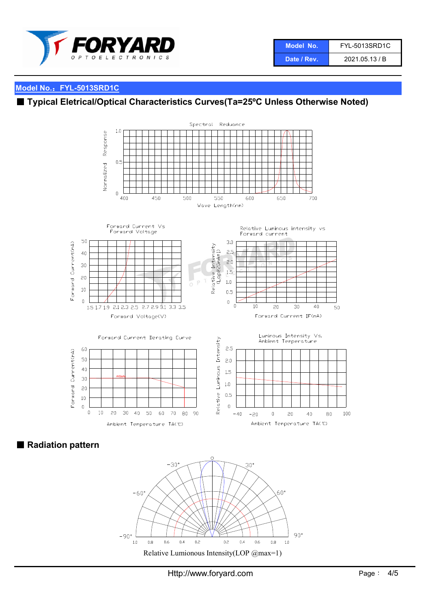

| Model No.   | <b>FYL-5013SRD1C</b> |
|-------------|----------------------|
| Date / Rev. | 2021.05.13 / B       |

## ■ Typical Eletrical/Optical Characteristics Curves(Ta=25°C Unless Otherwise Noted)



■ Radiation pattern